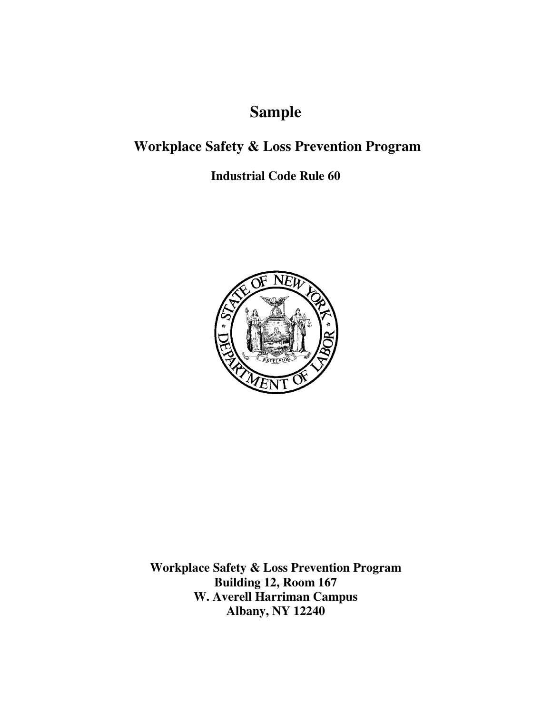# **Sample**

# **Workplace Safety & Loss Prevention Program**

**Industrial Code Rule 60** 



**Workplace Safety & Loss Prevention Program Building 12, Room 167 W. Averell Harriman Campus Albany, NY 12240**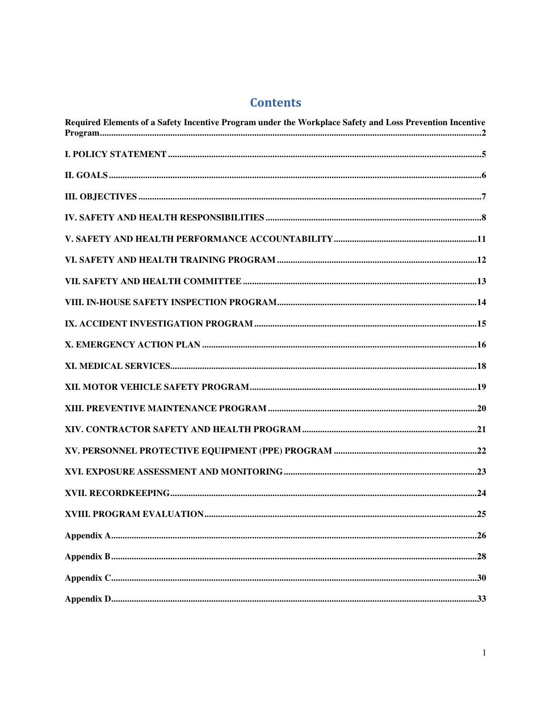# **Contents**

| Required Elements of a Safety Incentive Program under the Workplace Safety and Loss Prevention Incentive |  |
|----------------------------------------------------------------------------------------------------------|--|
|                                                                                                          |  |
|                                                                                                          |  |
|                                                                                                          |  |
|                                                                                                          |  |
|                                                                                                          |  |
|                                                                                                          |  |
|                                                                                                          |  |
|                                                                                                          |  |
|                                                                                                          |  |
|                                                                                                          |  |
|                                                                                                          |  |
|                                                                                                          |  |
|                                                                                                          |  |
|                                                                                                          |  |
|                                                                                                          |  |
|                                                                                                          |  |
|                                                                                                          |  |
|                                                                                                          |  |
|                                                                                                          |  |
|                                                                                                          |  |
|                                                                                                          |  |
|                                                                                                          |  |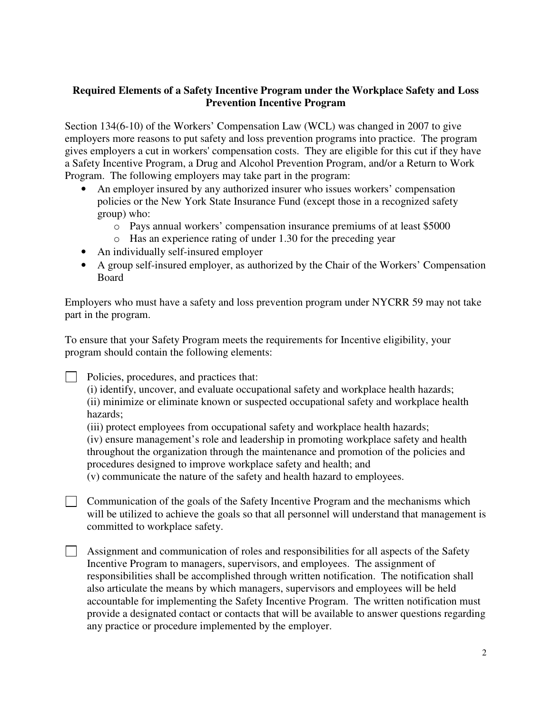#### **Required Elements of a Safety Incentive Program under the Workplace Safety and Loss Prevention Incentive Program**

Section 134(6-10) of the Workers' Compensation Law (WCL) was changed in 2007 to give employers more reasons to put safety and loss prevention programs into practice. The program gives employers a cut in workers' compensation costs. They are eligible for this cut if they have a Safety Incentive Program, a Drug and Alcohol Prevention Program, and/or a Return to Work Program. The following employers may take part in the program:

- An employer insured by any authorized insurer who issues workers' compensation policies or the New York State Insurance Fund (except those in a recognized safety group) who:
	- o Pays annual workers' compensation insurance premiums of at least \$5000
	- o Has an experience rating of under 1.30 for the preceding year
- An individually self-insured employer
- A group self-insured employer, as authorized by the Chair of the Workers' Compensation Board

Employers who must have a safety and loss prevention program under NYCRR 59 may not take part in the program.

To ensure that your Safety Program meets the requirements for Incentive eligibility, your program should contain the following elements:

Policies, procedures, and practices that:

(i) identify, uncover, and evaluate occupational safety and workplace health hazards; (ii) minimize or eliminate known or suspected occupational safety and workplace health hazards;

(iii) protect employees from occupational safety and workplace health hazards;

(iv) ensure management's role and leadership in promoting workplace safety and health throughout the organization through the maintenance and promotion of the policies and procedures designed to improve workplace safety and health; and

(v) communicate the nature of the safety and health hazard to employees.

 $\Box$  Communication of the goals of the Safety Incentive Program and the mechanisms which will be utilized to achieve the goals so that all personnel will understand that management is committed to workplace safety.

 $\Box$  Assignment and communication of roles and responsibilities for all aspects of the Safety Incentive Program to managers, supervisors, and employees. The assignment of responsibilities shall be accomplished through written notification. The notification shall also articulate the means by which managers, supervisors and employees will be held accountable for implementing the Safety Incentive Program. The written notification must provide a designated contact or contacts that will be available to answer questions regarding any practice or procedure implemented by the employer.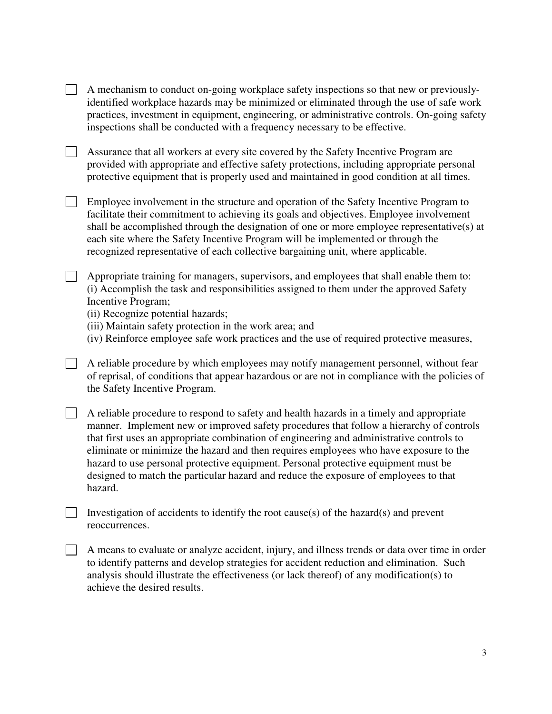- $\Box$  A mechanism to conduct on-going workplace safety inspections so that new or previouslyidentified workplace hazards may be minimized or eliminated through the use of safe work practices, investment in equipment, engineering, or administrative controls. On-going safety inspections shall be conducted with a frequency necessary to be effective.
- Assurance that all workers at every site covered by the Safety Incentive Program are provided with appropriate and effective safety protections, including appropriate personal protective equipment that is properly used and maintained in good condition at all times.
- Employee involvement in the structure and operation of the Safety Incentive Program to facilitate their commitment to achieving its goals and objectives. Employee involvement shall be accomplished through the designation of one or more employee representative(s) at each site where the Safety Incentive Program will be implemented or through the recognized representative of each collective bargaining unit, where applicable.

 $\Box$  Appropriate training for managers, supervisors, and employees that shall enable them to: (i) Accomplish the task and responsibilities assigned to them under the approved Safety Incentive Program;

- (ii) Recognize potential hazards;
- (iii) Maintain safety protection in the work area; and
- (iv) Reinforce employee safe work practices and the use of required protective measures,

 $\Box$  A reliable procedure by which employees may notify management personnel, without fear of reprisal, of conditions that appear hazardous or are not in compliance with the policies of the Safety Incentive Program.

 $\Box$  A reliable procedure to respond to safety and health hazards in a timely and appropriate manner. Implement new or improved safety procedures that follow a hierarchy of controls that first uses an appropriate combination of engineering and administrative controls to eliminate or minimize the hazard and then requires employees who have exposure to the hazard to use personal protective equipment. Personal protective equipment must be designed to match the particular hazard and reduce the exposure of employees to that hazard.

Investigation of accidents to identify the root cause(s) of the hazard(s) and prevent reoccurrences.

A means to evaluate or analyze accident, injury, and illness trends or data over time in order to identify patterns and develop strategies for accident reduction and elimination. Such analysis should illustrate the effectiveness (or lack thereof) of any modification(s) to achieve the desired results.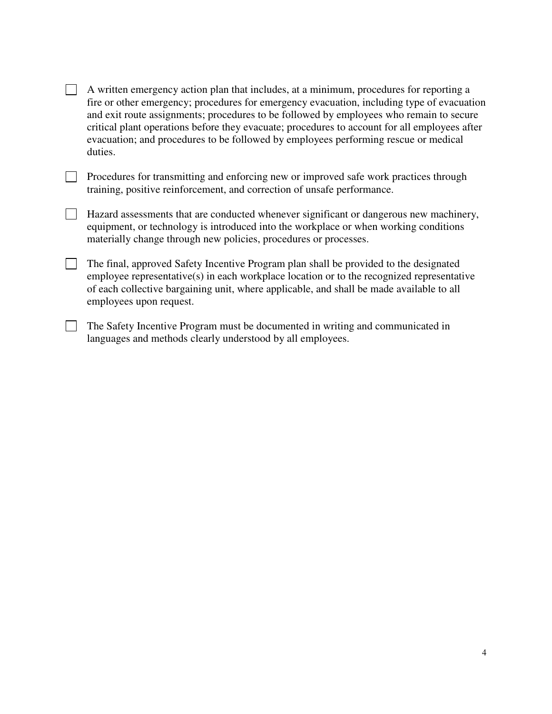| A written emergency action plan that includes, at a minimum, procedures for reporting a       |
|-----------------------------------------------------------------------------------------------|
| fire or other emergency; procedures for emergency evacuation, including type of evacuation    |
| and exit route assignments; procedures to be followed by employees who remain to secure       |
| critical plant operations before they evacuate; procedures to account for all employees after |
| evacuation; and procedures to be followed by employees performing rescue or medical           |
| duties.                                                                                       |

| Procedures for transmitting and enforcing new or improved safe work practices through |
|---------------------------------------------------------------------------------------|
| training, positive reinforcement, and correction of unsafe performance.               |

- Hazard assessments that are conducted whenever significant or dangerous new machinery, equipment, or technology is introduced into the workplace or when working conditions materially change through new policies, procedures or processes.
- The final, approved Safety Incentive Program plan shall be provided to the designated employee representative(s) in each workplace location or to the recognized representative of each collective bargaining unit, where applicable, and shall be made available to all employees upon request.
- The Safety Incentive Program must be documented in writing and communicated in languages and methods clearly understood by all employees.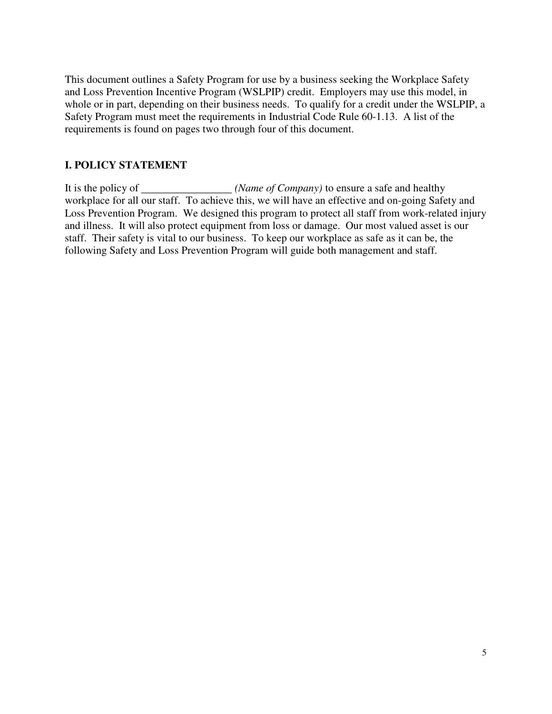This document outlines a Safety Program for use by a business seeking the Workplace Safety and Loss Prevention Incentive Program (WSLPIP) credit. Employers may use this model, in whole or in part, depending on their business needs. To qualify for a credit under the WSLPIP, a Safety Program must meet the requirements in Industrial Code Rule 60-1.13. A list of the requirements is found on pages two through four of this document.

#### **I. POLICY STATEMENT**

It is the policy of \_\_\_\_\_\_\_\_\_\_\_\_\_\_\_\_*(Name of Company)* to ensure a safe and healthy workplace for all our staff. To achieve this, we will have an effective and on-going Safety and Loss Prevention Program. We designed this program to protect all staff from work-related injury and illness. It will also protect equipment from loss or damage. Our most valued asset is our staff. Their safety is vital to our business. To keep our workplace as safe as it can be, the following Safety and Loss Prevention Program will guide both management and staff.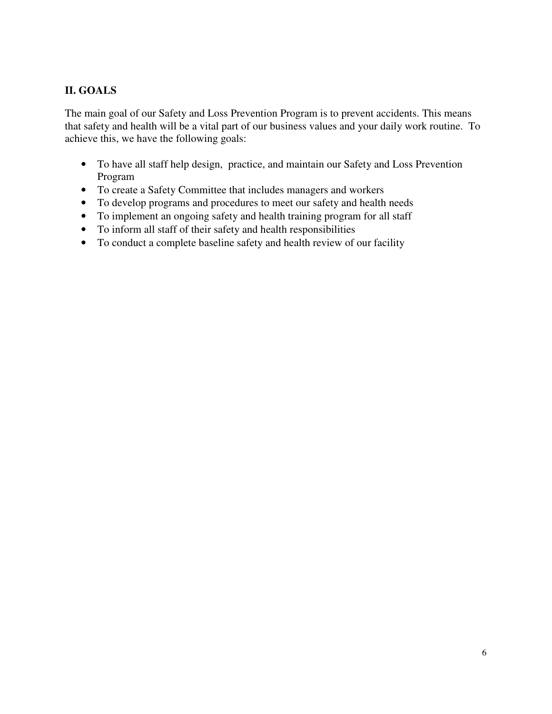# **II. GOALS**

The main goal of our Safety and Loss Prevention Program is to prevent accidents. This means that safety and health will be a vital part of our business values and your daily work routine. To achieve this, we have the following goals:

- To have all staff help design, practice, and maintain our Safety and Loss Prevention Program
- To create a Safety Committee that includes managers and workers
- To develop programs and procedures to meet our safety and health needs
- To implement an ongoing safety and health training program for all staff
- To inform all staff of their safety and health responsibilities
- To conduct a complete baseline safety and health review of our facility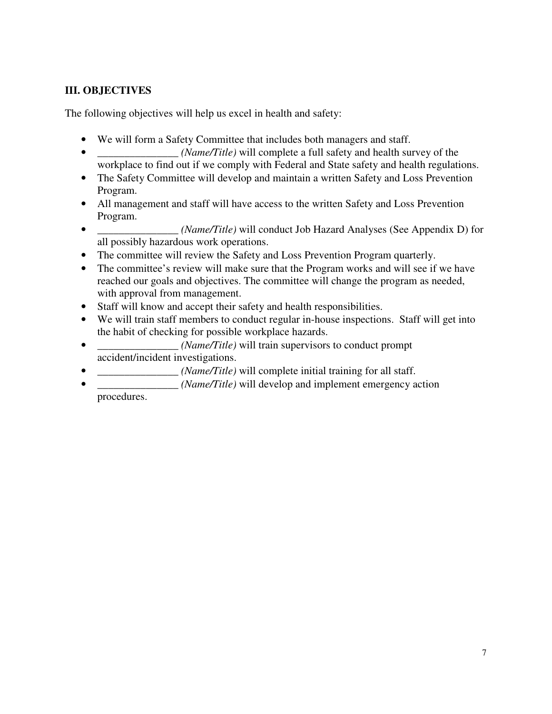## **III. OBJECTIVES**

The following objectives will help us excel in health and safety:

- We will form a Safety Committee that includes both managers and staff.
- *<i>Mame/Title*) will complete a full safety and health survey of the workplace to find out if we comply with Federal and State safety and health regulations.
- The Safety Committee will develop and maintain a written Safety and Loss Prevention Program.
- All management and staff will have access to the written Safety and Loss Prevention Program.
- *Parameters (Nametersal)* will conduct Job Hazard Analyses (See Appendix D) for all possibly hazardous work operations.
- The committee will review the Safety and Loss Prevention Program quarterly.
- The committee's review will make sure that the Program works and will see if we have reached our goals and objectives. The committee will change the program as needed, with approval from management.
- Staff will know and accept their safety and health responsibilities.
- We will train staff members to conduct regular in-house inspections. Staff will get into the habit of checking for possible workplace hazards.
- *\_\_\_\_\_\_\_\_\_\_\_\_\_\_\_ (Name/Title)* will train supervisors to conduct prompt accident/incident investigations.
- *\_\_\_\_\_\_\_\_\_\_\_\_\_\_\_ (Name/Title)* will complete initial training for all staff.
- *(Name/Title)* will develop and implement emergency action procedures.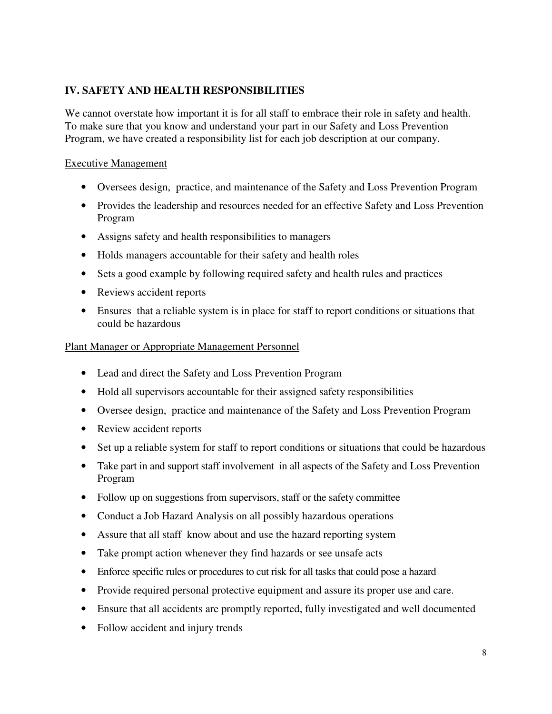### **IV. SAFETY AND HEALTH RESPONSIBILITIES**

We cannot overstate how important it is for all staff to embrace their role in safety and health. To make sure that you know and understand your part in our Safety and Loss Prevention Program, we have created a responsibility list for each job description at our company.

#### Executive Management

- Oversees design, practice, and maintenance of the Safety and Loss Prevention Program
- Provides the leadership and resources needed for an effective Safety and Loss Prevention Program
- Assigns safety and health responsibilities to managers
- Holds managers accountable for their safety and health roles
- Sets a good example by following required safety and health rules and practices
- Reviews accident reports
- Ensures that a reliable system is in place for staff to report conditions or situations that could be hazardous

#### Plant Manager or Appropriate Management Personnel

- Lead and direct the Safety and Loss Prevention Program
- Hold all supervisors accountable for their assigned safety responsibilities
- Oversee design, practice and maintenance of the Safety and Loss Prevention Program
- Review accident reports
- Set up a reliable system for staff to report conditions or situations that could be hazardous
- Take part in and support staff involvement in all aspects of the Safety and Loss Prevention Program
- Follow up on suggestions from supervisors, staff or the safety committee
- Conduct a Job Hazard Analysis on all possibly hazardous operations
- Assure that all staff know about and use the hazard reporting system
- Take prompt action whenever they find hazards or see unsafe acts
- Enforce specific rules or procedures to cut risk for all tasks that could pose a hazard
- Provide required personal protective equipment and assure its proper use and care.
- Ensure that all accidents are promptly reported, fully investigated and well documented
- Follow accident and injury trends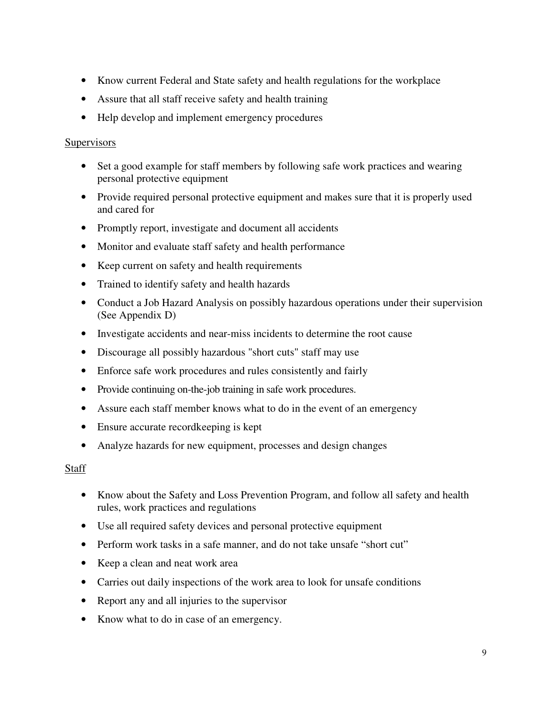- Know current Federal and State safety and health regulations for the workplace
- Assure that all staff receive safety and health training
- Help develop and implement emergency procedures

#### **Supervisors**

- Set a good example for staff members by following safe work practices and wearing personal protective equipment
- Provide required personal protective equipment and makes sure that it is properly used and cared for
- Promptly report, investigate and document all accidents
- Monitor and evaluate staff safety and health performance
- Keep current on safety and health requirements
- Trained to identify safety and health hazards
- Conduct a Job Hazard Analysis on possibly hazardous operations under their supervision (See Appendix D)
- Investigate accidents and near-miss incidents to determine the root cause
- Discourage all possibly hazardous "short cuts" staff may use
- Enforce safe work procedures and rules consistently and fairly
- Provide continuing on-the-job training in safe work procedures.
- Assure each staff member knows what to do in the event of an emergency
- Ensure accurate record keeping is kept
- Analyze hazards for new equipment, processes and design changes

#### Staff

- Know about the Safety and Loss Prevention Program, and follow all safety and health rules, work practices and regulations
- Use all required safety devices and personal protective equipment
- Perform work tasks in a safe manner, and do not take unsafe "short cut"
- Keep a clean and neat work area
- Carries out daily inspections of the work area to look for unsafe conditions
- Report any and all injuries to the supervisor
- Know what to do in case of an emergency.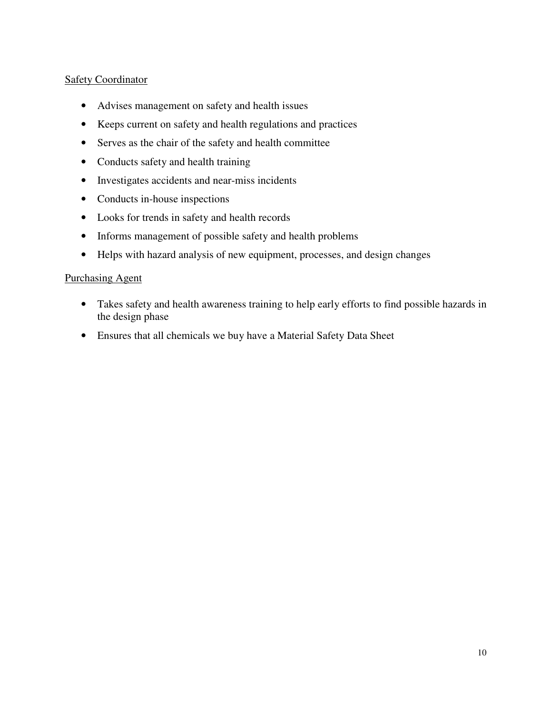#### **Safety Coordinator**

- Advises management on safety and health issues
- Keeps current on safety and health regulations and practices
- Serves as the chair of the safety and health committee
- Conducts safety and health training
- Investigates accidents and near-miss incidents
- Conducts in-house inspections
- Looks for trends in safety and health records
- Informs management of possible safety and health problems
- Helps with hazard analysis of new equipment, processes, and design changes

#### Purchasing Agent

- Takes safety and health awareness training to help early efforts to find possible hazards in the design phase
- Ensures that all chemicals we buy have a Material Safety Data Sheet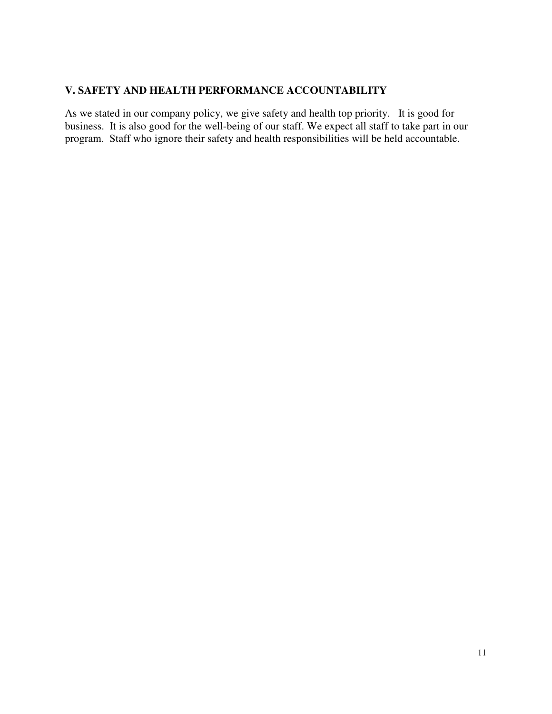## **V. SAFETY AND HEALTH PERFORMANCE ACCOUNTABILITY**

As we stated in our company policy, we give safety and health top priority. It is good for business. It is also good for the well-being of our staff. We expect all staff to take part in our program. Staff who ignore their safety and health responsibilities will be held accountable.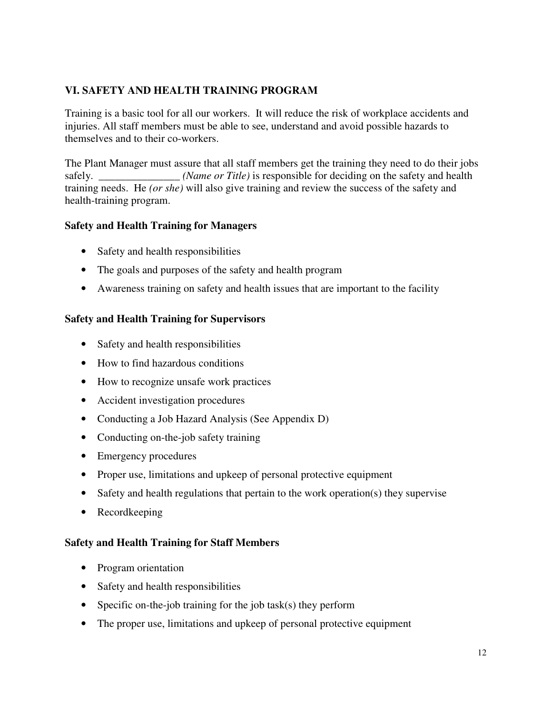## **VI. SAFETY AND HEALTH TRAINING PROGRAM**

Training is a basic tool for all our workers. It will reduce the risk of workplace accidents and injuries. All staff members must be able to see, understand and avoid possible hazards to themselves and to their co-workers.

The Plant Manager must assure that all staff members get the training they need to do their jobs safely. *\_\_\_\_\_\_\_\_\_\_\_\_\_\_\_ (Name or Title)* is responsible for deciding on the safety and health training needs. He *(or she)* will also give training and review the success of the safety and health-training program.

#### **Safety and Health Training for Managers**

- Safety and health responsibilities
- The goals and purposes of the safety and health program
- Awareness training on safety and health issues that are important to the facility

#### **Safety and Health Training for Supervisors**

- Safety and health responsibilities
- How to find hazardous conditions
- How to recognize unsafe work practices
- Accident investigation procedures
- Conducting a Job Hazard Analysis (See Appendix D)
- Conducting on-the-job safety training
- Emergency procedures
- Proper use, limitations and upkeep of personal protective equipment
- Safety and health regulations that pertain to the work operation(s) they supervise
- Recordkeeping

#### **Safety and Health Training for Staff Members**

- Program orientation
- Safety and health responsibilities
- Specific on-the-job training for the job task(s) they perform
- The proper use, limitations and upkeep of personal protective equipment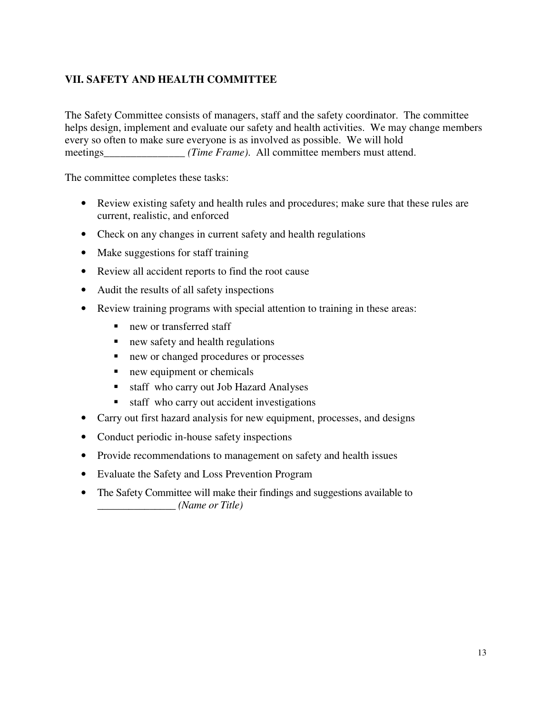## **VII. SAFETY AND HEALTH COMMITTEE**

The Safety Committee consists of managers, staff and the safety coordinator. The committee helps design, implement and evaluate our safety and health activities. We may change members every so often to make sure everyone is as involved as possible. We will hold meetings *(Time Frame)*. All committee members must attend.

The committee completes these tasks:

- Review existing safety and health rules and procedures; make sure that these rules are current, realistic, and enforced
- Check on any changes in current safety and health regulations
- Make suggestions for staff training
- Review all accident reports to find the root cause
- Audit the results of all safety inspections
- Review training programs with special attention to training in these areas:
	- new or transferred staff
	- new safety and health regulations
	- new or changed procedures or processes
	- new equipment or chemicals
	- staff who carry out Job Hazard Analyses
	- staff who carry out accident investigations
- Carry out first hazard analysis for new equipment, processes, and designs
- Conduct periodic in-house safety inspections
- Provide recommendations to management on safety and health issues
- Evaluate the Safety and Loss Prevention Program
- The Safety Committee will make their findings and suggestions available to *\_\_\_\_\_\_\_\_\_\_\_\_\_\_\_ (Name or Title)*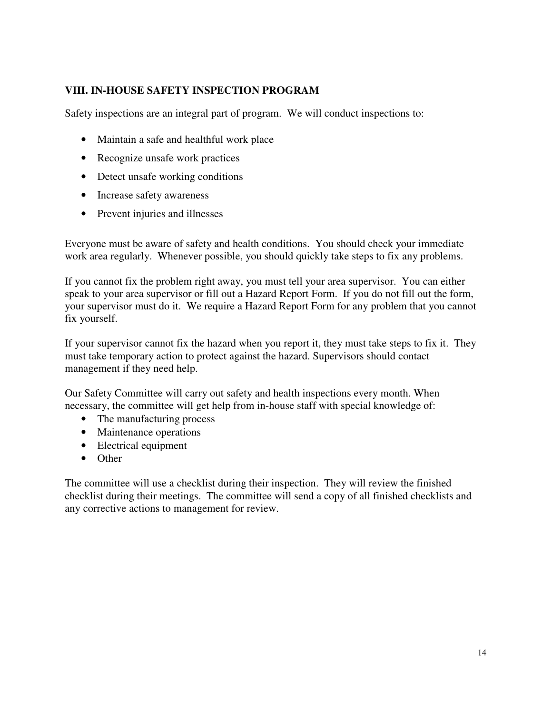#### **VIII. IN-HOUSE SAFETY INSPECTION PROGRAM**

Safety inspections are an integral part of program. We will conduct inspections to:

- Maintain a safe and healthful work place
- Recognize unsafe work practices
- Detect unsafe working conditions
- Increase safety awareness
- Prevent injuries and illnesses

Everyone must be aware of safety and health conditions. You should check your immediate work area regularly. Whenever possible, you should quickly take steps to fix any problems.

If you cannot fix the problem right away, you must tell your area supervisor. You can either speak to your area supervisor or fill out a Hazard Report Form. If you do not fill out the form, your supervisor must do it. We require a Hazard Report Form for any problem that you cannot fix yourself.

If your supervisor cannot fix the hazard when you report it, they must take steps to fix it. They must take temporary action to protect against the hazard. Supervisors should contact management if they need help.

Our Safety Committee will carry out safety and health inspections every month. When necessary, the committee will get help from in-house staff with special knowledge of:

- The manufacturing process
- Maintenance operations
- Electrical equipment
- Other

The committee will use a checklist during their inspection. They will review the finished checklist during their meetings. The committee will send a copy of all finished checklists and any corrective actions to management for review.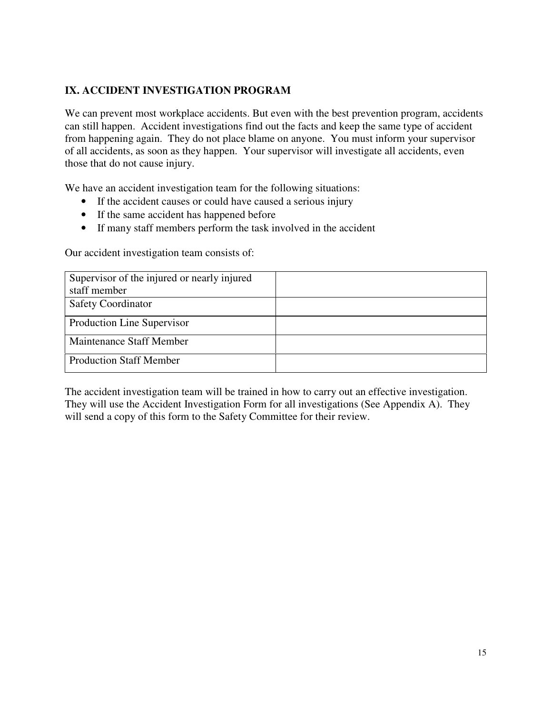## **IX. ACCIDENT INVESTIGATION PROGRAM**

We can prevent most workplace accidents. But even with the best prevention program, accidents can still happen. Accident investigations find out the facts and keep the same type of accident from happening again. They do not place blame on anyone. You must inform your supervisor of all accidents, as soon as they happen. Your supervisor will investigate all accidents, even those that do not cause injury.

We have an accident investigation team for the following situations:

- If the accident causes or could have caused a serious injury
- If the same accident has happened before
- If many staff members perform the task involved in the accident

Our accident investigation team consists of:

| Supervisor of the injured or nearly injured |  |
|---------------------------------------------|--|
| staff member                                |  |
| <b>Safety Coordinator</b>                   |  |
| Production Line Supervisor                  |  |
| Maintenance Staff Member                    |  |
| <b>Production Staff Member</b>              |  |

The accident investigation team will be trained in how to carry out an effective investigation. They will use the Accident Investigation Form for all investigations (See Appendix A). They will send a copy of this form to the Safety Committee for their review.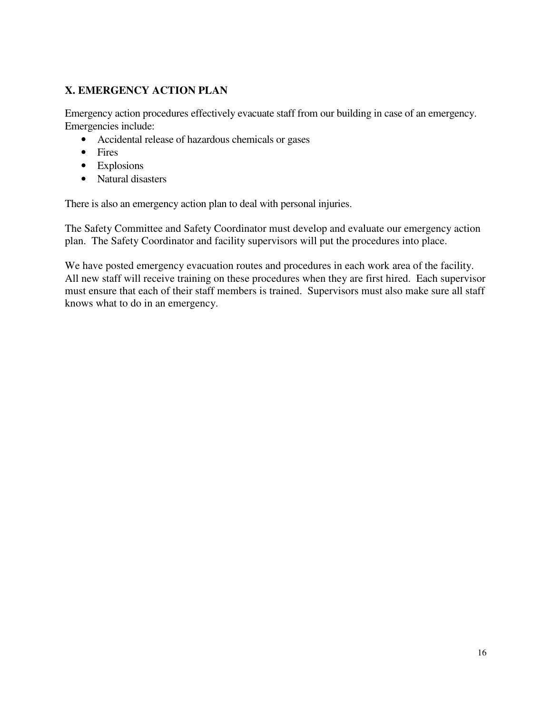## **X. EMERGENCY ACTION PLAN**

Emergency action procedures effectively evacuate staff from our building in case of an emergency. Emergencies include:

- Accidental release of hazardous chemicals or gases
- Fires
- Explosions
- Natural disasters

There is also an emergency action plan to deal with personal injuries.

The Safety Committee and Safety Coordinator must develop and evaluate our emergency action plan. The Safety Coordinator and facility supervisors will put the procedures into place.

We have posted emergency evacuation routes and procedures in each work area of the facility. All new staff will receive training on these procedures when they are first hired. Each supervisor must ensure that each of their staff members is trained. Supervisors must also make sure all staff knows what to do in an emergency.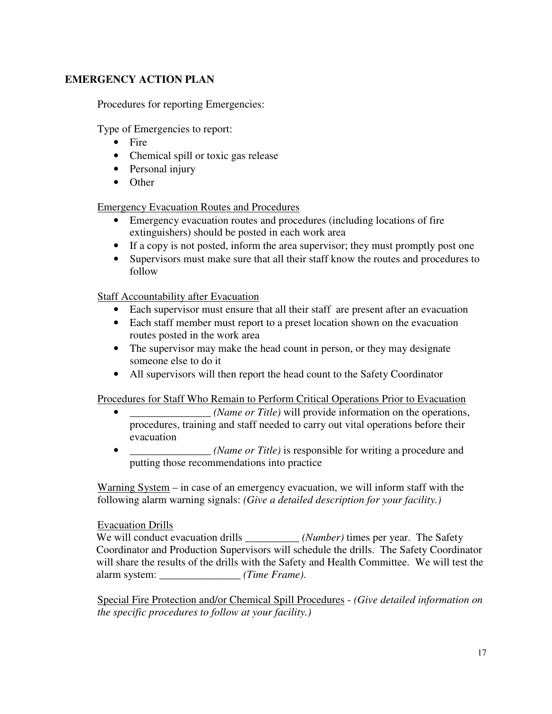## **EMERGENCY ACTION PLAN**

Procedures for reporting Emergencies:

Type of Emergencies to report:

- Fire
- Chemical spill or toxic gas release
- Personal injury
- Other

Emergency Evacuation Routes and Procedures

- Emergency evacuation routes and procedures (including locations of fire extinguishers) should be posted in each work area
- If a copy is not posted, inform the area supervisor; they must promptly post one
- Supervisors must make sure that all their staff know the routes and procedures to follow

Staff Accountability after Evacuation

- Each supervisor must ensure that all their staff are present after an evacuation
- Each staff member must report to a preset location shown on the evacuation routes posted in the work area
- The supervisor may make the head count in person, or they may designate someone else to do it
- All supervisors will then report the head count to the Safety Coordinator

Procedures for Staff Who Remain to Perform Critical Operations Prior to Evacuation

- (*Name or Title*) will provide information on the operations, procedures, training and staff needed to carry out vital operations before their evacuation
- $\blacksquare$  *(Name or Title)* is responsible for writing a procedure and putting those recommendations into practice

Warning System – in case of an emergency evacuation, we will inform staff with the following alarm warning signals: *(Give a detailed description for your facility.)* 

#### Evacuation Drills

We will conduct evacuation drills *\_\_\_\_\_\_\_\_\_\_ (Number)* times per year. The Safety Coordinator and Production Supervisors will schedule the drills. The Safety Coordinator will share the results of the drills with the Safety and Health Committee. We will test the alarm system: *\_\_\_\_\_\_\_\_\_\_\_\_\_\_\_ (Time Frame)*.

Special Fire Protection and/or Chemical Spill Procedures - *(Give detailed information on the specific procedures to follow at your facility.)*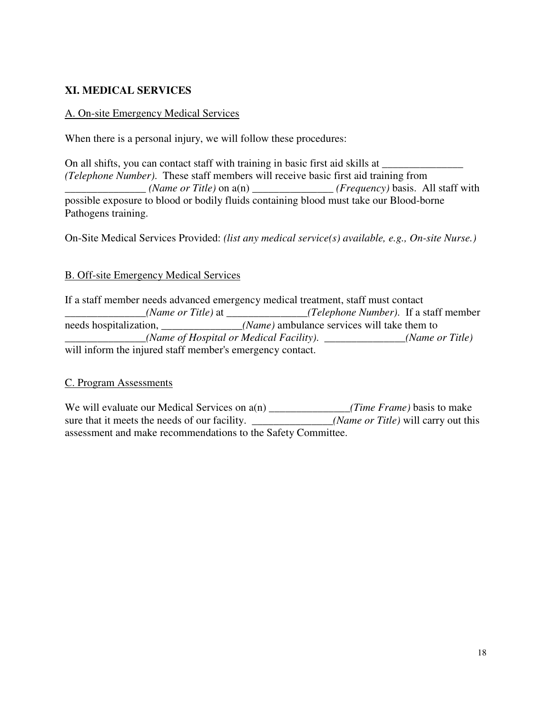### **XI. MEDICAL SERVICES**

#### A. On-site Emergency Medical Services

When there is a personal injury, we will follow these procedures:

On all shifts, you can contact staff with training in basic first aid skills at *\_\_\_\_\_\_\_\_\_\_\_\_\_\_\_ (Telephone Number)*. These staff members will receive basic first aid training from *\_\_\_\_\_\_\_\_\_\_\_\_\_\_\_ (Name or Title)* on a(n) *\_\_\_\_\_\_\_\_\_\_\_\_\_\_\_ (Frequency)* basis. All staff with possible exposure to blood or bodily fluids containing blood must take our Blood-borne Pathogens training.

On-Site Medical Services Provided: *(list any medical service(s) available, e.g., On-site Nurse.)* 

#### B. Off-site Emergency Medical Services

If a staff member needs advanced emergency medical treatment, staff must contact *\_\_\_\_\_\_\_\_\_\_\_\_\_\_\_(Name or Title)* at *\_\_\_\_\_\_\_\_\_\_\_\_\_\_\_(Telephone Number)*. If a staff member needs hospitalization, *<i>Name*) ambulance services will take them to *\_\_\_\_\_\_\_\_\_\_\_\_\_\_\_(Name of Hospital or Medical Facility)*. *\_\_\_\_\_\_\_\_\_\_\_\_\_\_\_(Name or Title)*  will inform the injured staff member's emergency contact.

#### C. Program Assessments

We will evaluate our Medical Services on a(n) \_\_\_\_\_\_\_\_\_\_\_\_\_\_\_(*Time Frame*) basis to make sure that it meets the needs of our facility. <u>\_\_\_\_\_\_\_\_\_\_\_\_\_\_(Name or Title</u>) will carry out this assessment and make recommendations to the Safety Committee.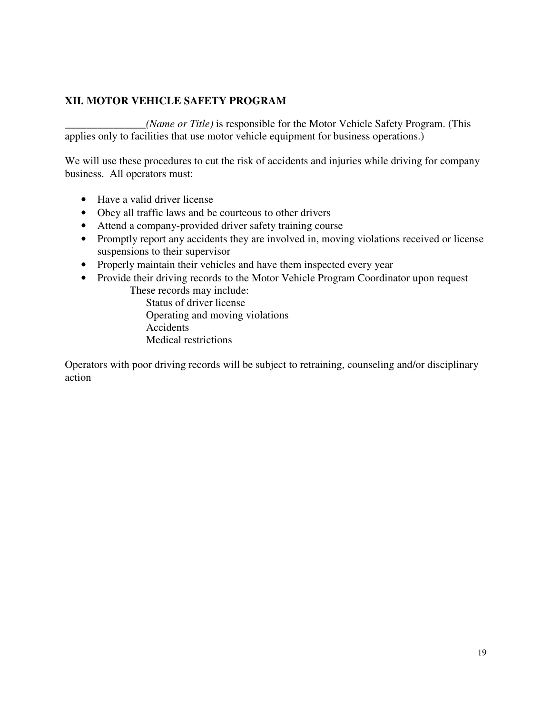### **XII. MOTOR VEHICLE SAFETY PROGRAM**

*\_\_\_\_\_\_\_\_\_\_\_\_\_\_\_(Name or Title)* is responsible for the Motor Vehicle Safety Program. (This applies only to facilities that use motor vehicle equipment for business operations.)

We will use these procedures to cut the risk of accidents and injuries while driving for company business. All operators must:

- Have a valid driver license
- Obey all traffic laws and be courteous to other drivers
- Attend a company-provided driver safety training course
- Promptly report any accidents they are involved in, moving violations received or license suspensions to their supervisor
- Properly maintain their vehicles and have them inspected every year
- Provide their driving records to the Motor Vehicle Program Coordinator upon request These records may include:

Status of driver license Operating and moving violations Accidents Medical restrictions

Operators with poor driving records will be subject to retraining, counseling and/or disciplinary action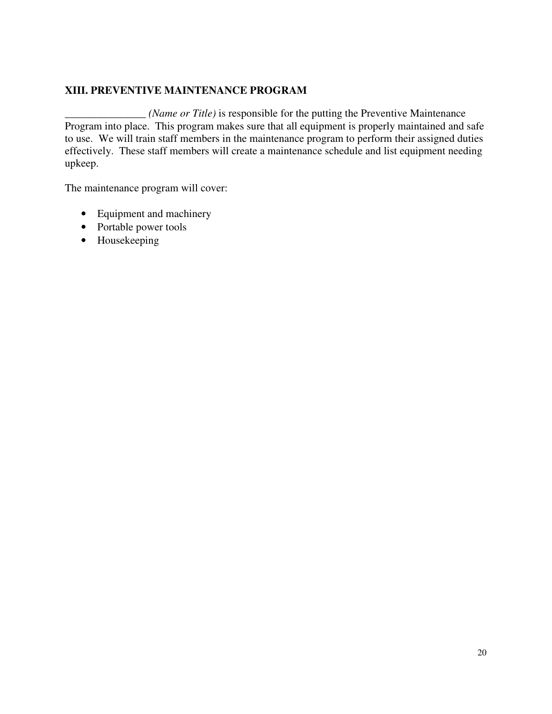#### **XIII. PREVENTIVE MAINTENANCE PROGRAM**

*\_\_\_\_\_\_\_\_\_\_\_\_\_\_\_ (Name or Title)* is responsible for the putting the Preventive Maintenance Program into place. This program makes sure that all equipment is properly maintained and safe to use. We will train staff members in the maintenance program to perform their assigned duties effectively. These staff members will create a maintenance schedule and list equipment needing upkeep.

The maintenance program will cover:

- Equipment and machinery
- Portable power tools
- Housekeeping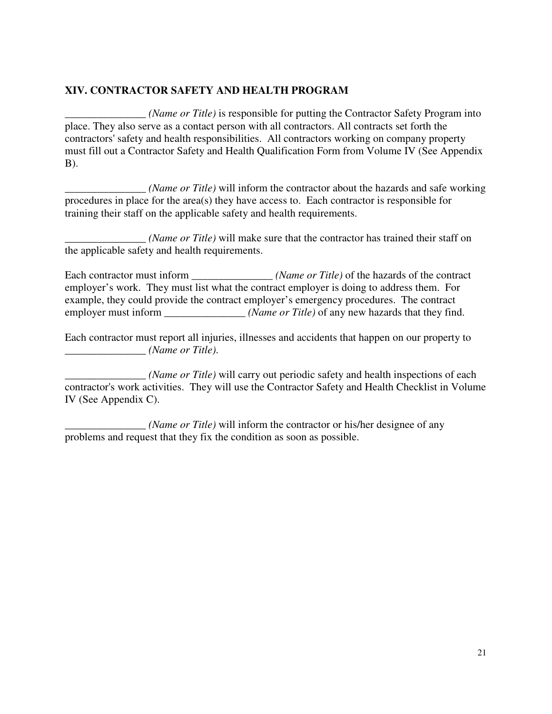#### **XIV. CONTRACTOR SAFETY AND HEALTH PROGRAM**

*\_\_\_\_\_\_\_\_\_\_\_\_\_\_\_ (Name or Title)* is responsible for putting the Contractor Safety Program into place. They also serve as a contact person with all contractors. All contracts set forth the contractors' safety and health responsibilities. All contractors working on company property must fill out a Contractor Safety and Health Qualification Form from Volume IV (See Appendix B).

*\_\_\_\_\_\_\_\_\_\_\_\_\_\_\_ (Name or Title)* will inform the contractor about the hazards and safe working procedures in place for the area(s) they have access to. Each contractor is responsible for training their staff on the applicable safety and health requirements.

*\_\_\_\_\_\_\_\_\_\_\_\_\_\_\_ (Name or Title)* will make sure that the contractor has trained their staff on the applicable safety and health requirements.

Each contractor must inform *<i>(Name or Title)* of the hazards of the contract employer's work. They must list what the contract employer is doing to address them. For example, they could provide the contract employer's emergency procedures. The contract employer must inform *<i>\_\_\_\_\_\_\_\_\_\_\_\_\_\_ (Name or Title)* of any new hazards that they find.

Each contractor must report all injuries, illnesses and accidents that happen on our property to *\_\_\_\_\_\_\_\_\_\_\_\_\_\_\_ (Name or Title)*.

*\_\_\_\_\_\_\_\_\_\_\_\_\_\_\_ (Name or Title)* will carry out periodic safety and health inspections of each contractor's work activities. They will use the Contractor Safety and Health Checklist in Volume IV (See Appendix C).

*\_\_\_\_\_\_\_\_\_\_\_\_\_\_\_ (Name or Title)* will inform the contractor or his/her designee of any problems and request that they fix the condition as soon as possible.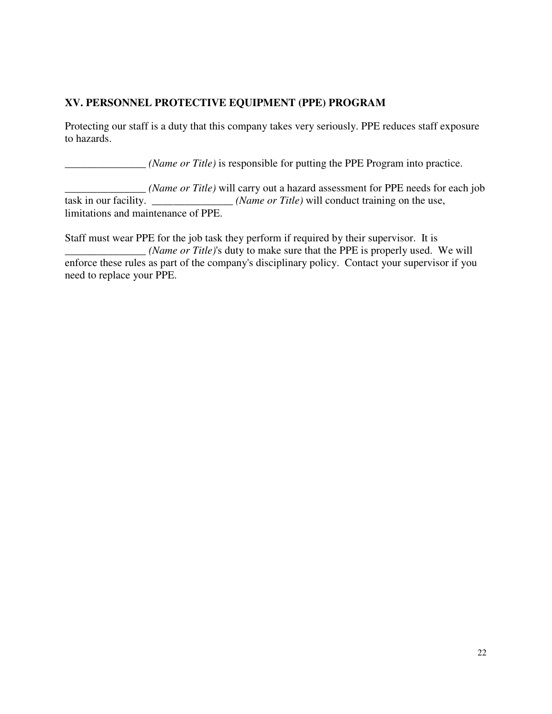## **XV. PERSONNEL PROTECTIVE EQUIPMENT (PPE) PROGRAM**

Protecting our staff is a duty that this company takes very seriously. PPE reduces staff exposure to hazards.

*\_\_\_\_\_\_\_\_\_\_\_\_\_\_\_ (Name or Title)* is responsible for putting the PPE Program into practice.

*\_\_\_\_\_\_\_\_\_\_\_\_\_\_\_ (Name or Title)* will carry out a hazard assessment for PPE needs for each job task in our facility. \_\_\_\_\_\_\_\_\_\_\_\_\_\_\_ *(Name or Title)* will conduct training on the use, limitations and maintenance of PPE.

Staff must wear PPE for the job task they perform if required by their supervisor. It is *\_\_\_\_\_\_\_\_\_\_\_\_\_\_\_ (Name or Title)*'s duty to make sure that the PPE is properly used. We will enforce these rules as part of the company's disciplinary policy. Contact your supervisor if you need to replace your PPE.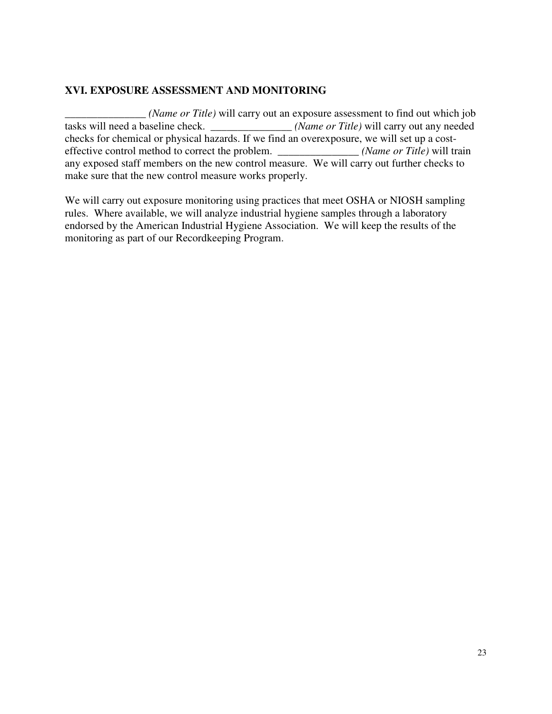#### **XVI. EXPOSURE ASSESSMENT AND MONITORING**

*\_\_\_\_\_\_\_\_\_\_\_\_\_\_\_ (Name or Title)* will carry out an exposure assessment to find out which job tasks will need a baseline check. *\_\_\_\_\_\_\_\_\_\_\_\_\_\_\_ (Name or Title)* will carry out any needed checks for chemical or physical hazards. If we find an overexposure, we will set up a costeffective control method to correct the problem. *<i>Name or Title*) will train any exposed staff members on the new control measure. We will carry out further checks to make sure that the new control measure works properly.

We will carry out exposure monitoring using practices that meet OSHA or NIOSH sampling rules. Where available, we will analyze industrial hygiene samples through a laboratory endorsed by the American Industrial Hygiene Association. We will keep the results of the monitoring as part of our Recordkeeping Program.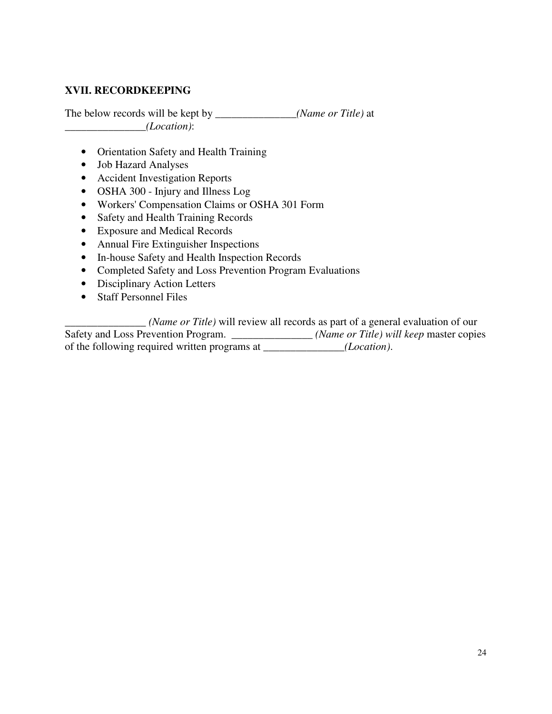#### **XVII. RECORDKEEPING**

The below records will be kept by *\_\_\_\_\_\_\_\_\_\_\_\_\_\_\_(Name or Title)* at *\_\_\_\_\_\_\_\_\_\_\_\_\_\_\_(Location)*:

- Orientation Safety and Health Training
- Job Hazard Analyses
- Accident Investigation Reports
- OSHA 300 Injury and Illness Log
- Workers' Compensation Claims or OSHA 301 Form
- Safety and Health Training Records
- Exposure and Medical Records
- Annual Fire Extinguisher Inspections
- In-house Safety and Health Inspection Records
- Completed Safety and Loss Prevention Program Evaluations
- Disciplinary Action Letters
- Staff Personnel Files

*\_\_\_\_\_\_\_\_\_\_\_\_\_\_\_ (Name or Title)* will review all records as part of a general evaluation of our Safety and Loss Prevention Program. \_\_\_\_\_\_\_\_\_\_\_\_\_\_ (Name or Title) will keep master copies of the following required written programs at *\_\_\_\_\_\_\_\_\_\_\_\_\_\_\_(Location)*.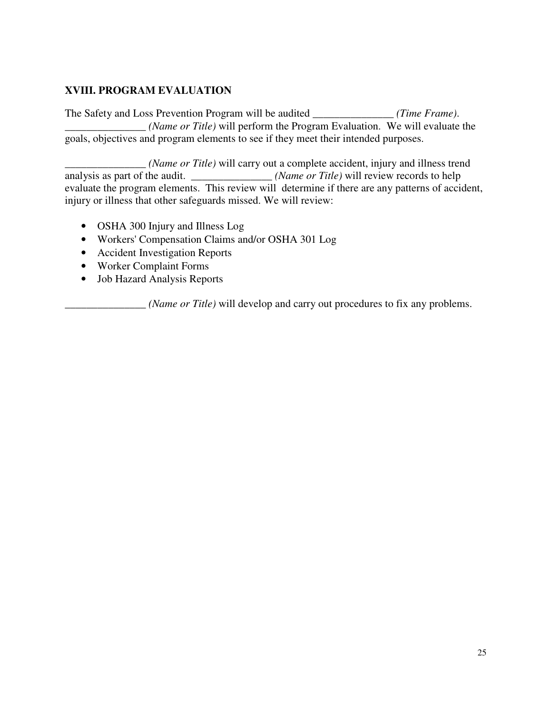## **XVIII. PROGRAM EVALUATION**

The Safety and Loss Prevention Program will be audited *\_\_\_\_\_\_\_\_\_\_\_\_\_\_\_ (Time Frame)*. *\_\_\_\_\_\_\_\_\_\_\_\_\_\_\_ (Name or Title)* will perform the Program Evaluation. We will evaluate the goals, objectives and program elements to see if they meet their intended purposes.

\_\_\_\_\_\_\_\_\_\_\_\_\_\_\_ *(Name or Title)* will carry out a complete accident, injury and illness trend analysis as part of the audit. \_\_\_\_\_\_\_\_\_\_\_\_\_\_\_\_ *(Name or Title)* will review records to help evaluate the program elements. This review will determine if there are any patterns of accident, injury or illness that other safeguards missed. We will review:

- OSHA 300 Injury and Illness Log
- Workers' Compensation Claims and/or OSHA 301 Log
- Accident Investigation Reports
- Worker Complaint Forms
- Job Hazard Analysis Reports

\_\_\_\_\_\_\_\_\_\_\_\_\_\_\_ *(Name or Title)* will develop and carry out procedures to fix any problems.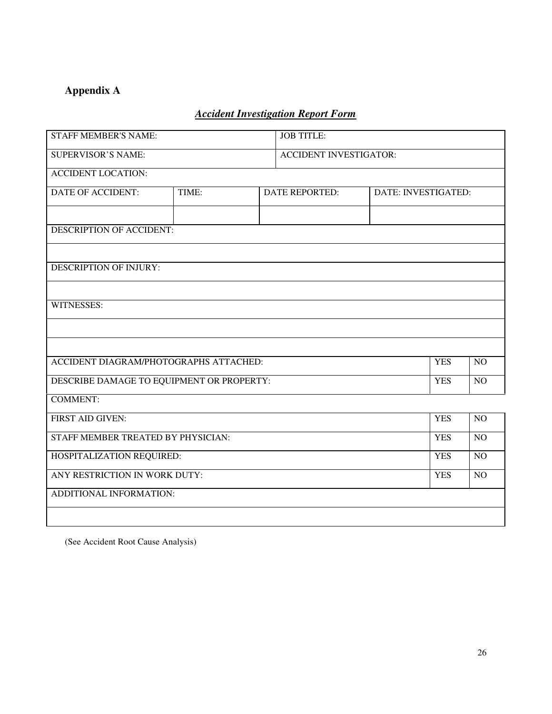# **Appendix A**

# *Accident Investigation Report Form*

| <b>STAFF MEMBER'S NAME:</b>                          |       | <b>JOB TITLE:</b>             |                       |                     |            |                 |
|------------------------------------------------------|-------|-------------------------------|-----------------------|---------------------|------------|-----------------|
| <b>SUPERVISOR'S NAME:</b>                            |       | <b>ACCIDENT INVESTIGATOR:</b> |                       |                     |            |                 |
| <b>ACCIDENT LOCATION:</b>                            |       |                               |                       |                     |            |                 |
| <b>DATE OF ACCIDENT:</b>                             | TIME: |                               | <b>DATE REPORTED:</b> | DATE: INVESTIGATED: |            |                 |
|                                                      |       |                               |                       |                     |            |                 |
| DESCRIPTION OF ACCIDENT:                             |       |                               |                       |                     |            |                 |
|                                                      |       |                               |                       |                     |            |                 |
| <b>DESCRIPTION OF INJURY:</b>                        |       |                               |                       |                     |            |                 |
|                                                      |       |                               |                       |                     |            |                 |
| WITNESSES:                                           |       |                               |                       |                     |            |                 |
|                                                      |       |                               |                       |                     |            |                 |
|                                                      |       |                               |                       |                     |            |                 |
| ACCIDENT DIAGRAM/PHOTOGRAPHS ATTACHED:<br><b>YES</b> |       |                               |                       | NO                  |            |                 |
| DESCRIBE DAMAGE TO EQUIPMENT OR PROPERTY:            |       |                               | <b>YES</b>            | NO                  |            |                 |
| <b>COMMENT:</b>                                      |       |                               |                       |                     |            |                 |
| <b>FIRST AID GIVEN:</b>                              |       |                               |                       |                     | <b>YES</b> | NO              |
| STAFF MEMBER TREATED BY PHYSICIAN:                   |       |                               |                       |                     | <b>YES</b> | NO              |
| HOSPITALIZATION REQUIRED:                            |       |                               |                       | <b>YES</b>          | NO         |                 |
| ANY RESTRICTION IN WORK DUTY:                        |       |                               |                       |                     | <b>YES</b> | $\overline{NO}$ |
| ADDITIONAL INFORMATION:                              |       |                               |                       |                     |            |                 |
|                                                      |       |                               |                       |                     |            |                 |

(See Accident Root Cause Analysis)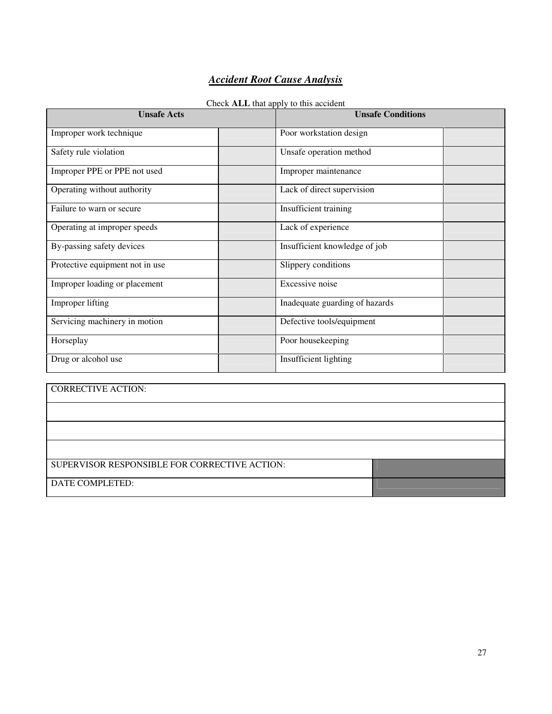## *Accident Root Cause Analysis*

#### Check **ALL** that apply to this accident

| <b>Unsafe Acts</b>              | <b>Unsafe Conditions</b>       |
|---------------------------------|--------------------------------|
| Improper work technique         | Poor workstation design        |
| Safety rule violation           | Unsafe operation method        |
| Improper PPE or PPE not used    | Improper maintenance           |
| Operating without authority     | Lack of direct supervision     |
| Failure to warn or secure       | Insufficient training          |
| Operating at improper speeds    | Lack of experience             |
| By-passing safety devices       | Insufficient knowledge of job  |
| Protective equipment not in use | Slippery conditions            |
| Improper loading or placement   | Excessive noise                |
| Improper lifting                | Inadequate guarding of hazards |
| Servicing machinery in motion   | Defective tools/equipment      |
| Horseplay                       | Poor housekeeping              |
| Drug or alcohol use             | Insufficient lighting          |

| <b>CORRECTIVE ACTION:</b>                     |  |
|-----------------------------------------------|--|
|                                               |  |
|                                               |  |
|                                               |  |
| SUPERVISOR RESPONSIBLE FOR CORRECTIVE ACTION: |  |
| DATE COMPLETED:                               |  |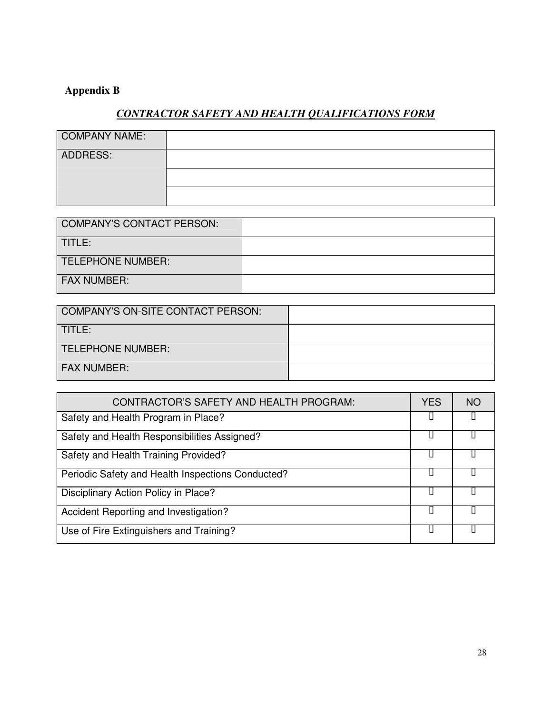# **Appendix B**

## *CONTRACTOR SAFETY AND HEALTH QUALIFICATIONS FORM*

| <b>COMPANY NAME:</b> |  |
|----------------------|--|
| ADDRESS:             |  |
|                      |  |
|                      |  |

| COMPANY'S CONTACT PERSON: |  |
|---------------------------|--|
| TITLE:                    |  |
| TELEPHONE NUMBER:         |  |
| <b>FAX NUMBER:</b>        |  |

| COMPANY'S ON-SITE CONTACT PERSON: |  |
|-----------------------------------|--|
| TITLE:                            |  |
| TELEPHONE NUMBER:                 |  |
| <b>FAX NUMBER:</b>                |  |

| CONTRACTOR'S SAFETY AND HEALTH PROGRAM:           | YES | NC. |
|---------------------------------------------------|-----|-----|
| Safety and Health Program in Place?               |     |     |
| Safety and Health Responsibilities Assigned?      |     |     |
| Safety and Health Training Provided?              |     |     |
| Periodic Safety and Health Inspections Conducted? |     |     |
| Disciplinary Action Policy in Place?              |     |     |
| Accident Reporting and Investigation?             |     |     |
| Use of Fire Extinguishers and Training?           |     |     |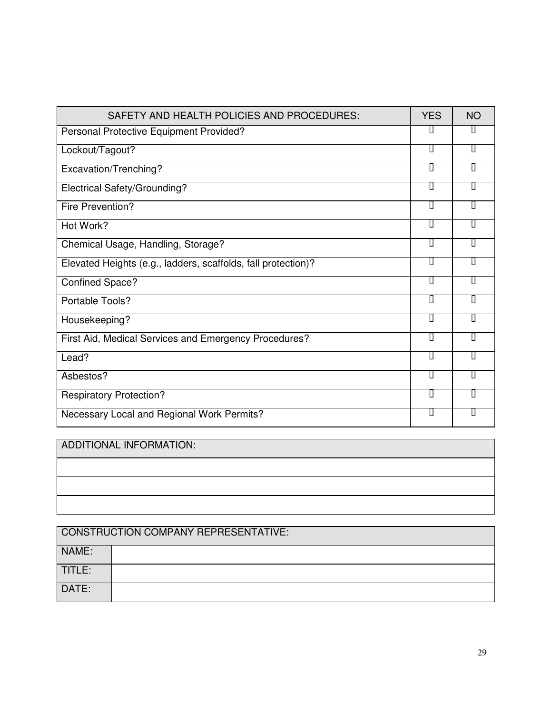| SAFETY AND HEALTH POLICIES AND PROCEDURES:                    | <b>YES</b> | <b>NO</b> |
|---------------------------------------------------------------|------------|-----------|
| Personal Protective Equipment Provided?                       |            |           |
| Lockout/Tagout?                                               |            |           |
| Excavation/Trenching?                                         |            |           |
| Electrical Safety/Grounding?                                  |            |           |
| Fire Prevention?                                              |            |           |
| Hot Work?                                                     |            |           |
| Chemical Usage, Handling, Storage?                            |            |           |
| Elevated Heights (e.g., ladders, scaffolds, fall protection)? |            |           |
| <b>Confined Space?</b>                                        |            |           |
| Portable Tools?                                               |            |           |
| Housekeeping?                                                 |            |           |
| First Aid, Medical Services and Emergency Procedures?         |            |           |
| Lead?                                                         |            |           |
| Asbestos?                                                     |            |           |
| <b>Respiratory Protection?</b>                                |            |           |
| Necessary Local and Regional Work Permits?                    |            |           |

ADDITIONAL INFORMATION:

| CONSTRUCTION COMPANY REPRESENTATIVE: |  |  |  |
|--------------------------------------|--|--|--|
| NAME:                                |  |  |  |
| TITLE:                               |  |  |  |
| DATE:                                |  |  |  |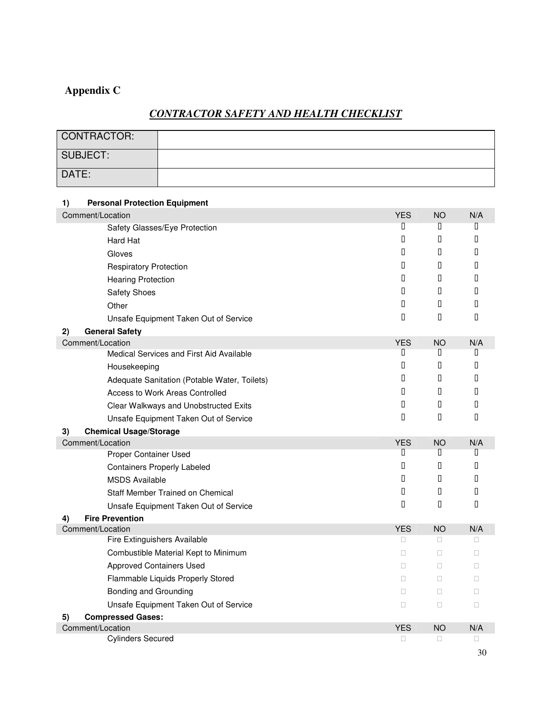# **Appendix C**

# *CONTRACTOR SAFETY AND HEALTH CHECKLIST*

| <b>CONTRACTOR:</b>                           |                                |
|----------------------------------------------|--------------------------------|
| <b>SUBJECT:</b>                              |                                |
| DATE:                                        |                                |
|                                              |                                |
| <b>Personal Protection Equipment</b><br>1)   |                                |
| Comment/Location                             | <b>YES</b><br><b>NO</b><br>N/A |
| Safety Glasses/Eye Protection                |                                |
| Hard Hat                                     |                                |
| Gloves                                       |                                |
| <b>Respiratory Protection</b>                |                                |
| <b>Hearing Protection</b>                    |                                |
| <b>Safety Shoes</b>                          |                                |
| Other                                        |                                |
| Unsafe Equipment Taken Out of Service        |                                |
| <b>General Safety</b><br>2)                  |                                |
| Comment/Location                             | N/A<br><b>YES</b><br><b>NO</b> |
| Medical Services and First Aid Available     |                                |
| Housekeeping                                 |                                |
| Adequate Sanitation (Potable Water, Toilets) |                                |
| Access to Work Areas Controlled              |                                |
| Clear Walkways and Unobstructed Exits        |                                |
| Unsafe Equipment Taken Out of Service        |                                |
| <b>Chemical Usage/Storage</b><br>3)          |                                |
| Comment/Location                             | <b>YES</b><br><b>NO</b><br>N/A |
| Proper Container Used                        |                                |
| <b>Containers Properly Labeled</b>           |                                |
| <b>MSDS Available</b>                        |                                |
| Staff Member Trained on Chemical             |                                |
| Unsafe Equipment Taken Out of Service        |                                |
| <b>Fire Prevention</b><br>4)                 |                                |
| Comment/Location                             | <b>YES</b><br><b>NO</b><br>N/A |
| Fire Extinguishers Available                 |                                |
| Combustible Material Kept to Minimum         |                                |
| <b>Approved Containers Used</b>              |                                |
| Flammable Liquids Properly Stored            |                                |
| Bonding and Grounding                        |                                |
| Unsafe Equipment Taken Out of Service        |                                |
| 5)<br><b>Compressed Gases:</b>               |                                |
| Comment/Location                             | <b>YES</b><br><b>NO</b><br>N/A |
| <b>Cylinders Secured</b>                     |                                |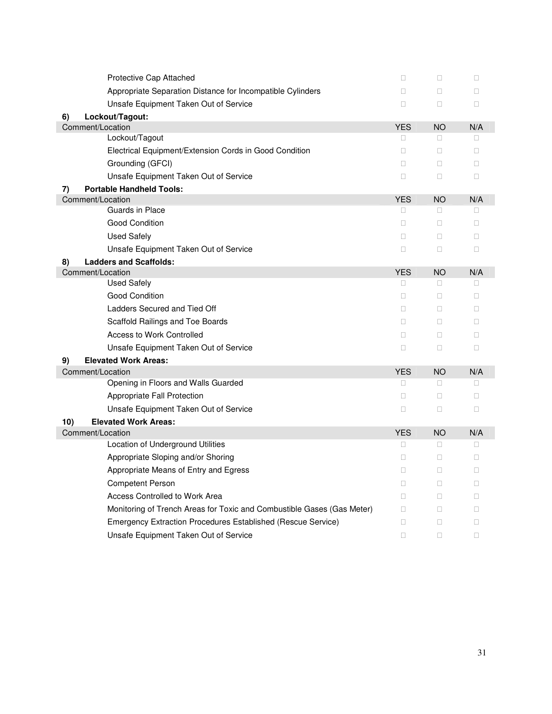| Protective Cap Attached                                                |            |           |     |
|------------------------------------------------------------------------|------------|-----------|-----|
| Appropriate Separation Distance for Incompatible Cylinders             |            |           |     |
| Unsafe Equipment Taken Out of Service                                  |            |           |     |
| 6)<br>Lockout/Tagout:                                                  |            |           |     |
| Comment/Location                                                       | <b>YES</b> | <b>NO</b> | N/A |
| Lockout/Tagout                                                         |            |           |     |
| Electrical Equipment/Extension Cords in Good Condition                 |            |           |     |
| Grounding (GFCI)                                                       |            |           |     |
| Unsafe Equipment Taken Out of Service                                  |            |           |     |
| <b>Portable Handheld Tools:</b><br>7)                                  |            |           |     |
| Comment/Location                                                       | <b>YES</b> | <b>NO</b> | N/A |
| Guards in Place                                                        |            |           |     |
| <b>Good Condition</b>                                                  |            |           |     |
| <b>Used Safely</b>                                                     |            |           |     |
| Unsafe Equipment Taken Out of Service                                  |            |           |     |
| <b>Ladders and Scaffolds:</b><br>8)                                    |            |           |     |
| Comment/Location                                                       | <b>YES</b> | <b>NO</b> | N/A |
| <b>Used Safely</b>                                                     |            |           |     |
| <b>Good Condition</b>                                                  |            |           |     |
| Ladders Secured and Tied Off                                           |            |           |     |
| Scaffold Railings and Toe Boards                                       |            |           |     |
| <b>Access to Work Controlled</b>                                       |            |           |     |
| Unsafe Equipment Taken Out of Service                                  |            |           |     |
| <b>Elevated Work Areas:</b><br>9)                                      |            |           |     |
| Comment/Location                                                       | <b>YES</b> | <b>NO</b> | N/A |
| Opening in Floors and Walls Guarded                                    |            |           |     |
| Appropriate Fall Protection                                            |            |           |     |
| Unsafe Equipment Taken Out of Service                                  |            |           |     |
| <b>Elevated Work Areas:</b><br>10)                                     |            |           |     |
| Comment/Location                                                       | <b>YES</b> | <b>NO</b> | N/A |
| Location of Underground Utilities                                      |            |           |     |
| Appropriate Sloping and/or Shoring                                     |            |           |     |
| Appropriate Means of Entry and Egress                                  |            |           |     |
| <b>Competent Person</b>                                                |            |           |     |
| Access Controlled to Work Area                                         |            |           |     |
| Monitoring of Trench Areas for Toxic and Combustible Gases (Gas Meter) |            |           |     |
| Emergency Extraction Procedures Established (Rescue Service)           |            |           |     |
| Unsafe Equipment Taken Out of Service                                  |            |           |     |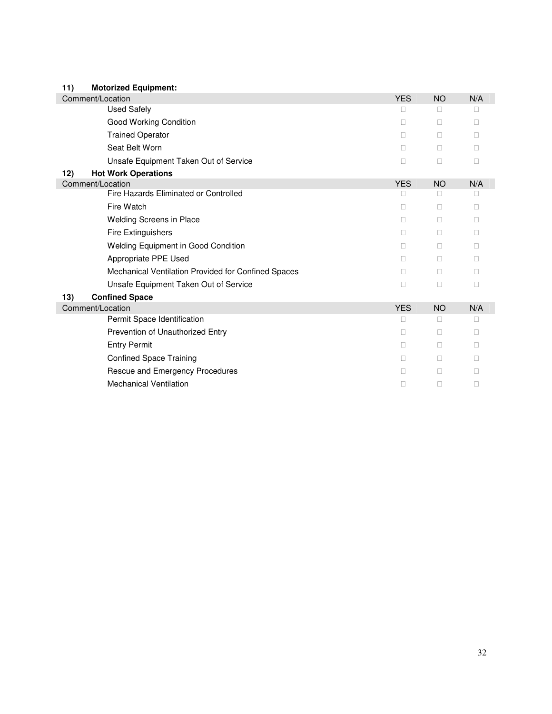| 11) | <b>Motorized Equipment:</b>                         |            |           |     |
|-----|-----------------------------------------------------|------------|-----------|-----|
|     | Comment/Location                                    |            | <b>NO</b> | N/A |
|     | <b>Used Safely</b>                                  |            |           |     |
|     | Good Working Condition                              |            |           |     |
|     | <b>Trained Operator</b>                             |            |           |     |
|     | Seat Belt Worn                                      |            |           |     |
|     | Unsafe Equipment Taken Out of Service               |            |           |     |
| 12) | <b>Hot Work Operations</b>                          |            |           |     |
|     | Comment/Location                                    | <b>YES</b> | <b>NO</b> | N/A |
|     | Fire Hazards Eliminated or Controlled               |            |           |     |
|     | Fire Watch                                          |            |           |     |
|     | Welding Screens in Place                            |            |           |     |
|     | <b>Fire Extinguishers</b>                           |            |           |     |
|     | Welding Equipment in Good Condition                 |            |           |     |
|     | Appropriate PPE Used                                |            |           |     |
|     | Mechanical Ventilation Provided for Confined Spaces |            |           |     |
|     | Unsafe Equipment Taken Out of Service               |            |           |     |
| 13) | <b>Confined Space</b>                               |            |           |     |
|     | Comment/Location                                    | <b>YES</b> | <b>NO</b> | N/A |
|     | Permit Space Identification                         |            |           |     |
|     | Prevention of Unauthorized Entry                    |            |           |     |
|     | <b>Entry Permit</b>                                 |            |           |     |
|     | <b>Confined Space Training</b>                      |            |           |     |
|     | Rescue and Emergency Procedures                     |            |           |     |
|     | <b>Mechanical Ventilation</b>                       |            |           |     |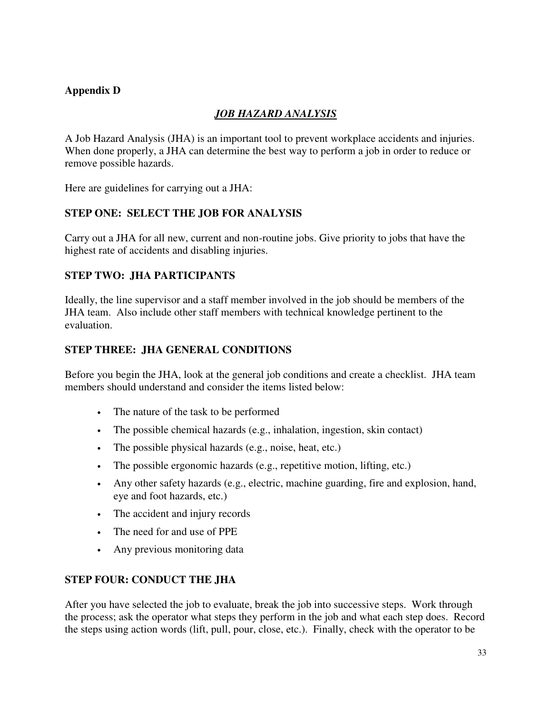## **Appendix D**

## *JOB HAZARD ANALYSIS*

A Job Hazard Analysis (JHA) is an important tool to prevent workplace accidents and injuries. When done properly, a JHA can determine the best way to perform a job in order to reduce or remove possible hazards.

Here are guidelines for carrying out a JHA:

#### **STEP ONE: SELECT THE JOB FOR ANALYSIS**

Carry out a JHA for all new, current and non-routine jobs. Give priority to jobs that have the highest rate of accidents and disabling injuries.

#### **STEP TWO: JHA PARTICIPANTS**

Ideally, the line supervisor and a staff member involved in the job should be members of the JHA team. Also include other staff members with technical knowledge pertinent to the evaluation.

### **STEP THREE: JHA GENERAL CONDITIONS**

Before you begin the JHA, look at the general job conditions and create a checklist. JHA team members should understand and consider the items listed below:

- The nature of the task to be performed
- The possible chemical hazards (e.g., inhalation, ingestion, skin contact)
- The possible physical hazards (e.g., noise, heat, etc.)
- The possible ergonomic hazards (e.g., repetitive motion, lifting, etc.)
- Any other safety hazards (e.g., electric, machine guarding, fire and explosion, hand, eye and foot hazards, etc.)
- The accident and injury records
- The need for and use of PPE
- Any previous monitoring data

#### **STEP FOUR: CONDUCT THE JHA**

After you have selected the job to evaluate, break the job into successive steps. Work through the process; ask the operator what steps they perform in the job and what each step does. Record the steps using action words (lift, pull, pour, close, etc.). Finally, check with the operator to be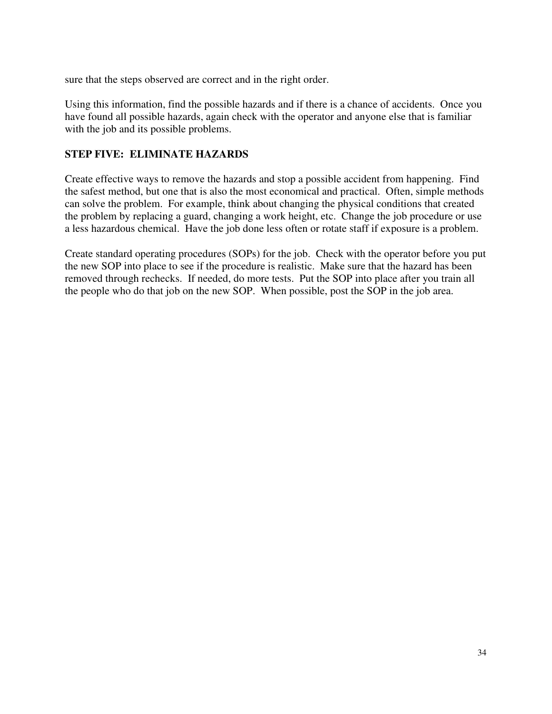sure that the steps observed are correct and in the right order.

Using this information, find the possible hazards and if there is a chance of accidents. Once you have found all possible hazards, again check with the operator and anyone else that is familiar with the job and its possible problems.

#### **STEP FIVE: ELIMINATE HAZARDS**

Create effective ways to remove the hazards and stop a possible accident from happening. Find the safest method, but one that is also the most economical and practical. Often, simple methods can solve the problem. For example, think about changing the physical conditions that created the problem by replacing a guard, changing a work height, etc. Change the job procedure or use a less hazardous chemical. Have the job done less often or rotate staff if exposure is a problem.

Create standard operating procedures (SOPs) for the job. Check with the operator before you put the new SOP into place to see if the procedure is realistic. Make sure that the hazard has been removed through rechecks. If needed, do more tests. Put the SOP into place after you train all the people who do that job on the new SOP. When possible, post the SOP in the job area.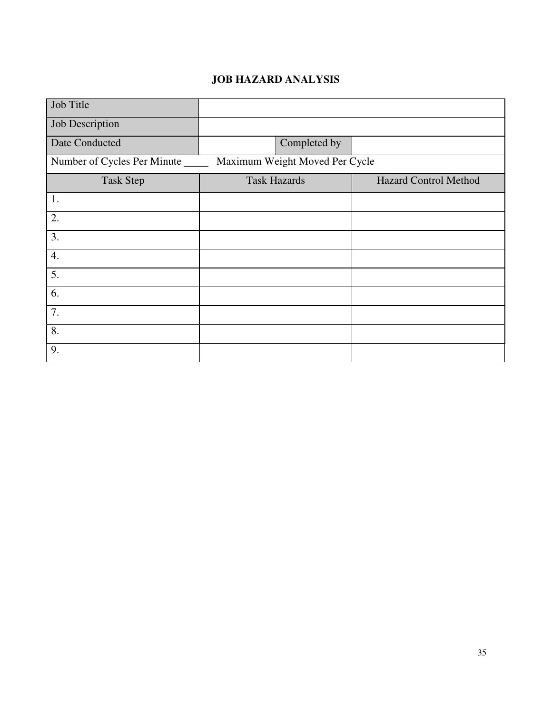## **JOB HAZARD ANALYSIS**

| Job Title                                                            |                     |                              |  |
|----------------------------------------------------------------------|---------------------|------------------------------|--|
| Job Description                                                      |                     |                              |  |
| Date Conducted                                                       | Completed by        |                              |  |
| Maximum Weight Moved Per Cycle<br>Number of Cycles Per Minute ______ |                     |                              |  |
| <b>Task Step</b>                                                     | <b>Task Hazards</b> | <b>Hazard Control Method</b> |  |
| 1.                                                                   |                     |                              |  |
| 2.                                                                   |                     |                              |  |
| 3.                                                                   |                     |                              |  |
| 4.                                                                   |                     |                              |  |
| 5.                                                                   |                     |                              |  |
| 6.                                                                   |                     |                              |  |
| 7.                                                                   |                     |                              |  |
| 8.                                                                   |                     |                              |  |
| 9.                                                                   |                     |                              |  |